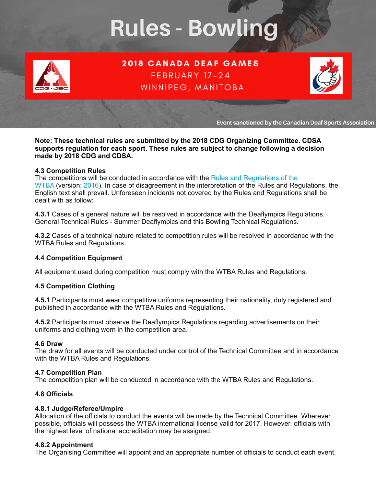# **Rules - Bowling**



**2018 CANADA DEAF GAMES** FEBRUARY 17-24 WINNIPEG, MANITOBA



Event sanctioned by the Canadian Deaf Sports Association

**Note: These technical rules are submitted by the 2018 CDG Organizing Committee. CDSA supports regulation for each sport. These rules are subject to change following a decision made by 2018 CDG and CDSA.** 

#### **4.3 Competition Rules**

The competitions will be conducted in accordance with the Rules and Regulations of the [WTBA](http://www.worldbowling.org/wp-content/uploads/2014/06/World-Bowling-Statutes-and-Playing-Rules-2016-01-01.pdf) (version: [2016\)](http://www.worldbowling.org/wp-content/uploads/2014/06/World-Bowling-Statutes-and-Playing-Rules-2016-01-01.pdf). In case of disagreement in the interpretation of the Rules and Regulations, the English text shall prevail. Unforeseen incidents not covered by the Rules and Regulations shall be dealt with as follow:

**4.3.1** Cases of a general nature will be resolved in accordance with the Deaflympics Regulations, General Technical Rules - Summer Deaflympics and this Bowling Technical Regulations.

**4.3.2** Cases of a technical nature related to competition rules will be resolved in accordance with the WTBA Rules and Regulations.

# **4.4 Competition Equipment**

All equipment used during competition must comply with the WTBA Rules and Regulations.

# **4.5 Competition Clothing**

**4.5.1** Participants must wear competitive uniforms representing their nationality, duly registered and published in accordance with the WTBA Rules and Regulations.

**4.5.2** Participants must observe the Deaflympics Regulations regarding advertisements on their uniforms and clothing worn in the competition area.

#### **4.6 Draw**

The draw for all events will be conducted under control of the Technical Committee and in accordance with the WTBA Rules and Regulations.

# **4.7 Competition Plan**

The competition plan will be conducted in accordance with the WTBA Rules and Regulations.

# **4.8 Officials**

# **4.8.1 Judge/Referee/Umpire**

Allocation of the officials to conduct the events will be made by the Technical Committee. Wherever possible, officials will possess the WTBA international license valid for 2017. However, officials with the highest level of national accreditation may be assigned.

# **4.8.2 Appointment**

The Organising Committee will appoint and an appropriate number of officials to conduct each event.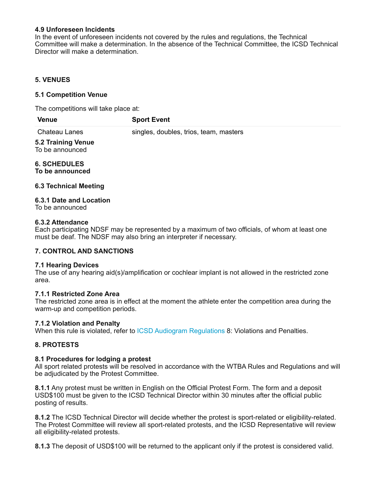#### **4.9 Unforeseen Incidents**

In the event of unforeseen incidents not covered by the rules and regulations, the Technical Committee will make a determination. In the absence of the Technical Committee, the ICSD Technical Director will make a determination.

# **5. VENUES**

#### **5.1 Competition Venue**

The competitions will take place at:

| Venue<br><b>Sport Event</b> |
|-----------------------------|
|-----------------------------|

Chateau Lanes singles, doubles, trios, team, masters

#### **5.2 Training Venue** To be announced

# **6. SCHEDULES**

**To be announced**

#### **6.3 Technical Meeting**

# **6.3.1 Date and Location**

To be announced

#### **6.3.2 Attendance**

Each participating NDSF may be represented by a maximum of two officials, of whom at least one must be deaf. The NDSF may also bring an interpreter if necessary.

# **7. CONTROL AND SANCTIONS**

#### **7.1 Hearing Devices**

The use of any hearing aid(s)/amplification or cochlear implant is not allowed in the restricted zone area.

# **7.1.1 Restricted Zone Area**

The restricted zone area is in effect at the moment the athlete enter the competition area during the warm-up and competition periods.

#### **7.1.2 Violation and Penalty**

When this rule is violated, refer to [ICSD Audiogram Regulations](http://deaflympics.com/pdf/AudiogramRegulations.pdf) 8: Violations and Penalties.

# **8. PROTESTS**

#### **8.1 Procedures for lodging a protest**

All sport related protests will be resolved in accordance with the WTBA Rules and Regulations and will be adjudicated by the Protest Committee.

**8.1.1** Any protest must be written in English on the Official Protest Form. The form and a deposit USD\$100 must be given to the ICSD Technical Director within 30 minutes after the official public posting of results.

**8.1.2** The ICSD Technical Director will decide whether the protest is sport-related or eligibility-related. The Protest Committee will review all sport-related protests, and the ICSD Representative will review all eligibility-related protests.

**8.1.3** The deposit of USD\$100 will be returned to the applicant only if the protest is considered valid.